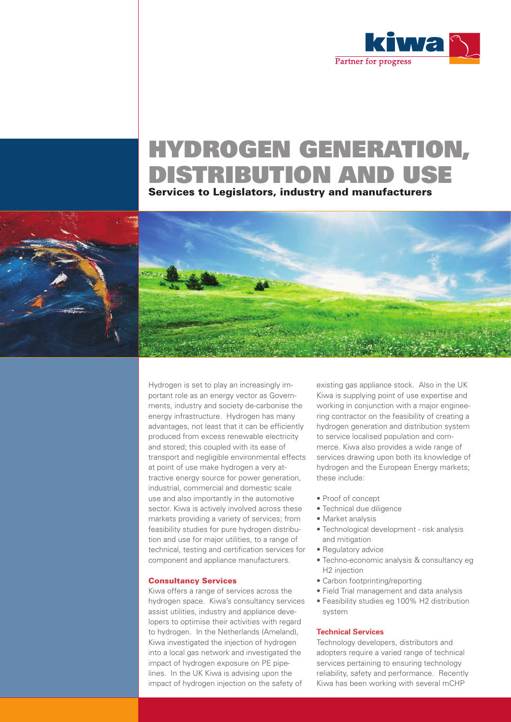

# HYDROGEN GENERATION, DISTRIBUTION AND USE

Services to Legislators, industry and manufacturers





Hydrogen is set to play an increasingly important role as an energy vector as Governments, industry and society de-carbonise the energy infrastructure. Hydrogen has many advantages, not least that it can be efficiently produced from excess renewable electricity and stored; this coupled with its ease of transport and negligible environmental effects at point of use make hydrogen a very attractive energy source for power generation, industrial, commercial and domestic scale use and also importantly in the automotive sector. Kiwa is actively involved across these markets providing a variety of services; from feasibility studies for pure hydrogen distribution and use for major utilities, to a range of technical, testing and certification services for component and appliance manufacturers.

# Consultancy Services

Kiwa offers a range of services across the hydrogen space. Kiwa's consultancy services assist utilities, industry and appliance developers to optimise their activities with regard to hydrogen. In the Netherlands (Ameland), Kiwa investigated the injection of hydrogen into a local gas network and investigated the impact of hydrogen exposure on PE pipelines. In the UK Kiwa is advising upon the impact of hydrogen injection on the safety of

existing gas appliance stock. Also in the UK Kiwa is supplying point of use expertise and working in conjunction with a major engineering contractor on the feasibility of creating a hydrogen generation and distribution system to service localised population and commerce. Kiwa also provides a wide range of services drawing upon both its knowledge of hydrogen and the European Energy markets; these include:

- Proof of concept
- Technical due diligence
- Market analysis
- Technological development risk analysis and mitigation
- Regulatory advice
- Techno-economic analysis & consultancy eg H2 injection
- Carbon footprinting/reporting
- Field Trial management and data analysis
- Feasibility studies eg 100% H2 distribution system

## **Technical Services**

Technology developers, distributors and adopters require a varied range of technical services pertaining to ensuring technology reliability, safety and performance. Recently Kiwa has been working with several mCHP